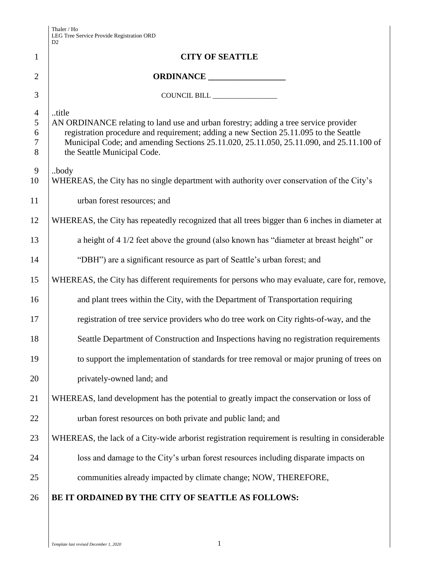|                                         | D2                                                                                                                                                                                                                                                                                                               |  |
|-----------------------------------------|------------------------------------------------------------------------------------------------------------------------------------------------------------------------------------------------------------------------------------------------------------------------------------------------------------------|--|
| $\mathbf{1}$                            | <b>CITY OF SEATTLE</b>                                                                                                                                                                                                                                                                                           |  |
| $\overline{2}$                          | ORDINANCE                                                                                                                                                                                                                                                                                                        |  |
| 3                                       | COUNCIL BILL ________________                                                                                                                                                                                                                                                                                    |  |
| $\overline{4}$<br>5<br>6<br>$\tau$<br>8 | title<br>AN ORDINANCE relating to land use and urban forestry; adding a tree service provider<br>registration procedure and requirement; adding a new Section 25.11.095 to the Seattle<br>Municipal Code; and amending Sections 25.11.020, 25.11.050, 25.11.090, and 25.11.100 of<br>the Seattle Municipal Code. |  |
| $\overline{9}$<br>10                    | body<br>WHEREAS, the City has no single department with authority over conservation of the City's                                                                                                                                                                                                                |  |
| 11                                      | urban forest resources; and                                                                                                                                                                                                                                                                                      |  |
| 12                                      | WHEREAS, the City has repeatedly recognized that all trees bigger than 6 inches in diameter at                                                                                                                                                                                                                   |  |
| 13                                      | a height of 4 1/2 feet above the ground (also known has "diameter at breast height" or                                                                                                                                                                                                                           |  |
| 14                                      | "DBH") are a significant resource as part of Seattle's urban forest; and                                                                                                                                                                                                                                         |  |
| 15                                      | WHEREAS, the City has different requirements for persons who may evaluate, care for, remove,                                                                                                                                                                                                                     |  |
| 16                                      | and plant trees within the City, with the Department of Transportation requiring                                                                                                                                                                                                                                 |  |
| 17                                      | registration of tree service providers who do tree work on City rights-of-way, and the                                                                                                                                                                                                                           |  |
| 18                                      | Seattle Department of Construction and Inspections having no registration requirements                                                                                                                                                                                                                           |  |
| 19                                      | to support the implementation of standards for tree removal or major pruning of trees on                                                                                                                                                                                                                         |  |
| 20                                      | privately-owned land; and                                                                                                                                                                                                                                                                                        |  |
| 21                                      | WHEREAS, land development has the potential to greatly impact the conservation or loss of                                                                                                                                                                                                                        |  |
| 22                                      | urban forest resources on both private and public land; and                                                                                                                                                                                                                                                      |  |
| 23                                      | WHEREAS, the lack of a City-wide arborist registration requirement is resulting in considerable                                                                                                                                                                                                                  |  |
| 24                                      | loss and damage to the City's urban forest resources including disparate impacts on                                                                                                                                                                                                                              |  |
| 25                                      | communities already impacted by climate change; NOW, THEREFORE,                                                                                                                                                                                                                                                  |  |
| 26                                      | BE IT ORDAINED BY THE CITY OF SEATTLE AS FOLLOWS:                                                                                                                                                                                                                                                                |  |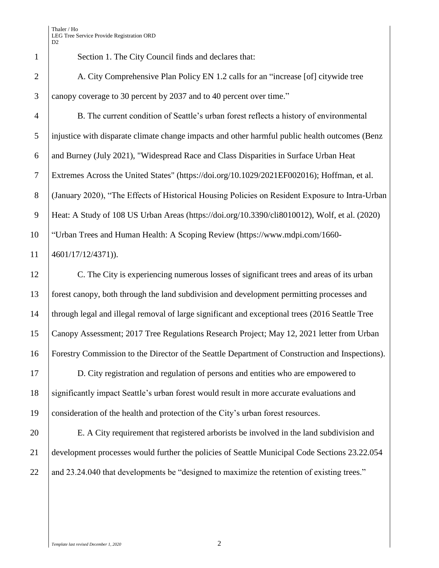Section 1. The City Council finds and declares that:

2 A. City Comprehensive Plan Policy EN 1.2 calls for an "increase [of] citywide tree canopy coverage to 30 percent by 2037 and to 40 percent over time."

 B. The current condition of Seattle's urban forest reflects a history of environmental injustice with disparate climate change impacts and other harmful public health outcomes (Benz and Burney (July 2021), "Widespread Race and Class Disparities in Surface Urban Heat Extremes Across the United States" (https://doi.org/10.1029/2021EF002016); Hoffman, et al. 8 (January 2020), "The Effects of Historical Housing Policies on Resident Exposure to Intra-Urban Heat: A Study of 108 US Urban Areas (https://doi.org/10.3390/cli8010012), Wolf, et al. (2020) "Urban Trees and Human Health: A Scoping Review (https://www.mdpi.com/1660- 4601/17/12/4371)).

 C. The City is experiencing numerous losses of significant trees and areas of its urban forest canopy, both through the land subdivision and development permitting processes and through legal and illegal removal of large significant and exceptional trees (2016 Seattle Tree Canopy Assessment; 2017 Tree Regulations Research Project; May 12, 2021 letter from Urban Forestry Commission to the Director of the Seattle Department of Construction and Inspections).

 D. City registration and regulation of persons and entities who are empowered to significantly impact Seattle's urban forest would result in more accurate evaluations and consideration of the health and protection of the City's urban forest resources.

 E. A City requirement that registered arborists be involved in the land subdivision and development processes would further the policies of Seattle Municipal Code Sections 23.22.054 22 and 23.24.040 that developments be "designed to maximize the retention of existing trees."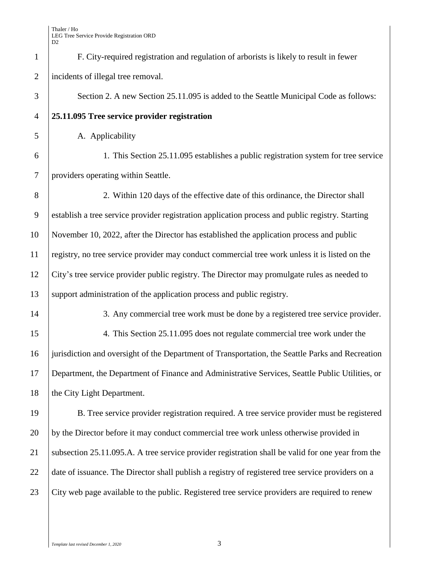| $\mathbf{1}$   | F. City-required registration and regulation of arborists is likely to result in fewer            |  |
|----------------|---------------------------------------------------------------------------------------------------|--|
| $\mathbf{2}$   | incidents of illegal tree removal.                                                                |  |
| 3              | Section 2. A new Section 25.11.095 is added to the Seattle Municipal Code as follows:             |  |
| $\overline{4}$ | 25.11.095 Tree service provider registration                                                      |  |
| 5              | A. Applicability                                                                                  |  |
| 6              | 1. This Section 25.11.095 establishes a public registration system for tree service               |  |
| $\tau$         | providers operating within Seattle.                                                               |  |
| 8              | 2. Within 120 days of the effective date of this ordinance, the Director shall                    |  |
| 9              | establish a tree service provider registration application process and public registry. Starting  |  |
| 10             | November 10, 2022, after the Director has established the application process and public          |  |
| 11             | registry, no tree service provider may conduct commercial tree work unless it is listed on the    |  |
| 12             | City's tree service provider public registry. The Director may promulgate rules as needed to      |  |
| 13             | support administration of the application process and public registry.                            |  |
| 14             | 3. Any commercial tree work must be done by a registered tree service provider.                   |  |
| 15             | 4. This Section 25.11.095 does not regulate commercial tree work under the                        |  |
| 16             | jurisdiction and oversight of the Department of Transportation, the Seattle Parks and Recreation  |  |
| 17             | Department, the Department of Finance and Administrative Services, Seattle Public Utilities, or   |  |
| 18             | the City Light Department.                                                                        |  |
| 19             | B. Tree service provider registration required. A tree service provider must be registered        |  |
| 20             | by the Director before it may conduct commercial tree work unless otherwise provided in           |  |
| 21             | subsection 25.11.095.A. A tree service provider registration shall be valid for one year from the |  |
| 22             | date of issuance. The Director shall publish a registry of registered tree service providers on a |  |
| 23             | City web page available to the public. Registered tree service providers are required to renew    |  |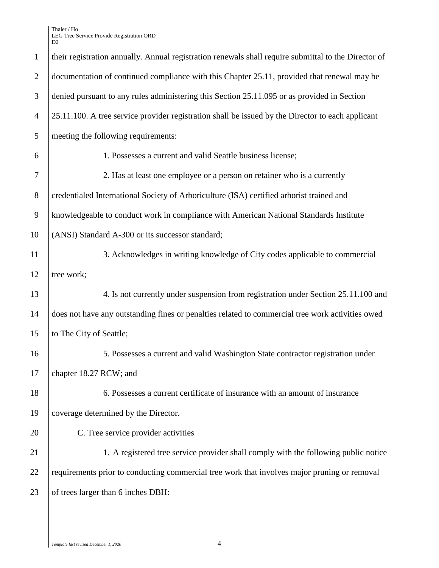Thaler / Ho LEG Tree Service Provide Registration ORD D2

| $\mathbf{1}$   | their registration annually. Annual registration renewals shall require submittal to the Director of |  |
|----------------|------------------------------------------------------------------------------------------------------|--|
| $\overline{2}$ | documentation of continued compliance with this Chapter 25.11, provided that renewal may be          |  |
| 3              | denied pursuant to any rules administering this Section 25.11.095 or as provided in Section          |  |
| $\overline{4}$ | 25.11.100. A tree service provider registration shall be issued by the Director to each applicant    |  |
| 5              | meeting the following requirements:                                                                  |  |
| 6              | 1. Possesses a current and valid Seattle business license;                                           |  |
| 7              | 2. Has at least one employee or a person on retainer who is a currently                              |  |
| 8              | credentialed International Society of Arboriculture (ISA) certified arborist trained and             |  |
| 9              | knowledgeable to conduct work in compliance with American National Standards Institute               |  |
| 10             | (ANSI) Standard A-300 or its successor standard;                                                     |  |
| 11             | 3. Acknowledges in writing knowledge of City codes applicable to commercial                          |  |
| 12             | tree work;                                                                                           |  |
| 13             | 4. Is not currently under suspension from registration under Section 25.11.100 and                   |  |
| 14             | does not have any outstanding fines or penalties related to commercial tree work activities owed     |  |
| 15             | to The City of Seattle;                                                                              |  |
| 16             | 5. Possesses a current and valid Washington State contractor registration under                      |  |
| 17             | chapter 18.27 RCW; and                                                                               |  |
| 18             | 6. Possesses a current certificate of insurance with an amount of insurance                          |  |
| 19             | coverage determined by the Director.                                                                 |  |
| 20             | C. Tree service provider activities                                                                  |  |
| 21             | 1. A registered tree service provider shall comply with the following public notice                  |  |
| 22             | requirements prior to conducting commercial tree work that involves major pruning or removal         |  |
| 23             | of trees larger than 6 inches DBH:                                                                   |  |
|                |                                                                                                      |  |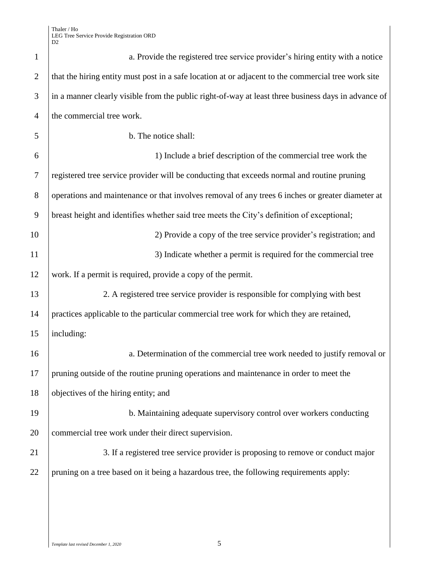| $\mathbf{1}$   | a. Provide the registered tree service provider's hiring entity with a notice                       |
|----------------|-----------------------------------------------------------------------------------------------------|
| $\overline{2}$ | that the hiring entity must post in a safe location at or adjacent to the commercial tree work site |
| 3              | in a manner clearly visible from the public right-of-way at least three business days in advance of |
| $\overline{4}$ | the commercial tree work.                                                                           |
| 5              | b. The notice shall:                                                                                |
| 6              | 1) Include a brief description of the commercial tree work the                                      |
| $\tau$         | registered tree service provider will be conducting that exceeds normal and routine pruning         |
| 8              | operations and maintenance or that involves removal of any trees 6 inches or greater diameter at    |
| 9              | breast height and identifies whether said tree meets the City's definition of exceptional;          |
| 10             | 2) Provide a copy of the tree service provider's registration; and                                  |
| 11             | 3) Indicate whether a permit is required for the commercial tree                                    |
| 12             | work. If a permit is required, provide a copy of the permit.                                        |
| 13             | 2. A registered tree service provider is responsible for complying with best                        |
| 14             | practices applicable to the particular commercial tree work for which they are retained,            |
| 15             | including:                                                                                          |
| 16             | a. Determination of the commercial tree work needed to justify removal or                           |
| 17             | pruning outside of the routine pruning operations and maintenance in order to meet the              |
| 18             | objectives of the hiring entity; and                                                                |
| 19             | b. Maintaining adequate supervisory control over workers conducting                                 |
| 20             | commercial tree work under their direct supervision.                                                |
| 21             | 3. If a registered tree service provider is proposing to remove or conduct major                    |
| 22             | pruning on a tree based on it being a hazardous tree, the following requirements apply:             |
|                |                                                                                                     |
|                |                                                                                                     |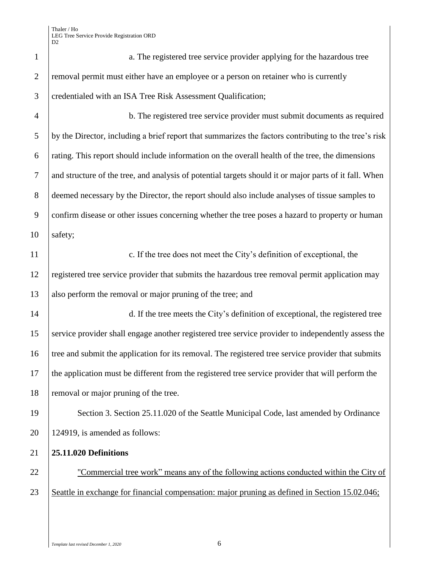| $\mathbf{1}$   | a. The registered tree service provider applying for the hazardous tree                                |
|----------------|--------------------------------------------------------------------------------------------------------|
| $\mathbf{2}$   | removal permit must either have an employee or a person on retainer who is currently                   |
| 3              | credentialed with an ISA Tree Risk Assessment Qualification;                                           |
| $\overline{4}$ | b. The registered tree service provider must submit documents as required                              |
| 5              | by the Director, including a brief report that summarizes the factors contributing to the tree's risk  |
| 6              | rating. This report should include information on the overall health of the tree, the dimensions       |
| $\tau$         | and structure of the tree, and analysis of potential targets should it or major parts of it fall. When |
| 8              | deemed necessary by the Director, the report should also include analyses of tissue samples to         |
| 9              | confirm disease or other issues concerning whether the tree poses a hazard to property or human        |
| 10             | safety;                                                                                                |
| 11             | c. If the tree does not meet the City's definition of exceptional, the                                 |
| 12             | registered tree service provider that submits the hazardous tree removal permit application may        |
| 13             | also perform the removal or major pruning of the tree; and                                             |
| 14             | d. If the tree meets the City's definition of exceptional, the registered tree                         |
| 15             | service provider shall engage another registered tree service provider to independently assess the     |
| 16             | tree and submit the application for its removal. The registered tree service provider that submits     |
| 17             | the application must be different from the registered tree service provider that will perform the      |
| 18             | removal or major pruning of the tree.                                                                  |
| 19             | Section 3. Section 25.11.020 of the Seattle Municipal Code, last amended by Ordinance                  |
| 20             | 124919, is amended as follows:                                                                         |
| 21             | 25.11.020 Definitions                                                                                  |
| 22             | "Commercial tree work" means any of the following actions conducted within the City of                 |
| 23             | Seattle in exchange for financial compensation: major pruning as defined in Section 15.02.046;         |
|                |                                                                                                        |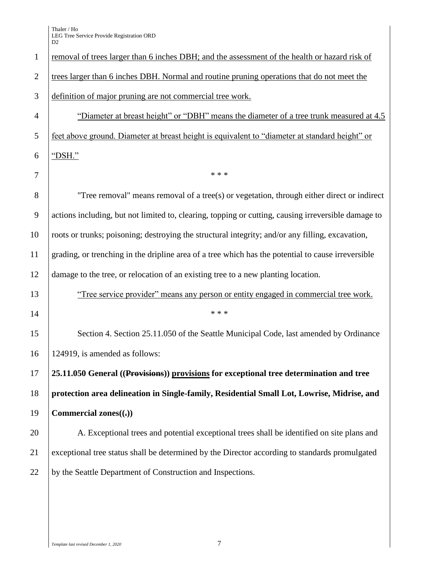| $\mathbf{1}$   | removal of trees larger than 6 inches DBH; and the assessment of the health or hazard risk of       |
|----------------|-----------------------------------------------------------------------------------------------------|
| $\overline{2}$ | trees larger than 6 inches DBH. Normal and routine pruning operations that do not meet the          |
| 3              | definition of major pruning are not commercial tree work.                                           |
| $\overline{4}$ | "Diameter at breast height" or "DBH" means the diameter of a tree trunk measured at 4.5             |
| 5              | feet above ground. Diameter at breast height is equivalent to "diameter at standard height" or      |
| 6              | "DSH."                                                                                              |
| 7              | * * *                                                                                               |
| 8              | "Tree removal" means removal of a tree(s) or vegetation, through either direct or indirect          |
| 9              | actions including, but not limited to, clearing, topping or cutting, causing irreversible damage to |
| 10             | roots or trunks; poisoning; destroying the structural integrity; and/or any filling, excavation,    |
| 11             | grading, or trenching in the dripline area of a tree which has the potential to cause irreversible  |
| 12             | damage to the tree, or relocation of an existing tree to a new planting location.                   |
| 13             | "Tree service provider" means any person or entity engaged in commercial tree work.                 |
| 14             | * * *                                                                                               |
| 15             | Section 4. Section 25.11.050 of the Seattle Municipal Code, last amended by Ordinance               |
| 16             | 124919, is amended as follows:                                                                      |
| 17             | 25.11.050 General ((Provisions)) provisions for exceptional tree determination and tree             |
| 18             | protection area delineation in Single-family, Residential Small Lot, Lowrise, Midrise, and          |
| 19             | Commercial zones $((.)$                                                                             |
| 20             | A. Exceptional trees and potential exceptional trees shall be identified on site plans and          |
| 21             | exceptional tree status shall be determined by the Director according to standards promulgated      |
| 22             | by the Seattle Department of Construction and Inspections.                                          |
|                |                                                                                                     |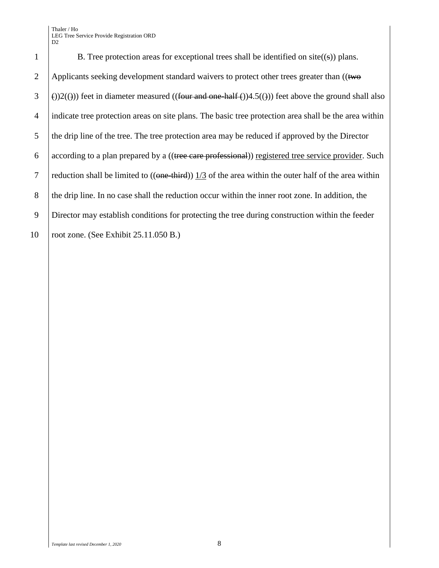Thaler / Ho LEG Tree Service Provide Registration ORD D<sub>2</sub>

1 B. Tree protection areas for exceptional trees shall be identified on  $site((s))$  plans. 2 Applicants seeking development standard waivers to protect other trees greater than  $((two$  $\left( \begin{array}{c} 3 \\ \end{array} \right)$  (i))2((i))) feet in diameter measured ((four and one-half ())4.5((i))) feet above the ground shall also 4 indicate tree protection areas on site plans. The basic tree protection area shall be the area within 5 the drip line of the tree. The tree protection area may be reduced if approved by the Director  $6$  according to a plan prepared by a ((tree care professional)) registered tree service provider. Such 7 reduction shall be limited to  $((one-third))$  1/3 of the area within the outer half of the area within 8 the drip line. In no case shall the reduction occur within the inner root zone. In addition, the 9 Director may establish conditions for protecting the tree during construction within the feeder 10 | root zone. (See Exhibit 25.11.050 B.)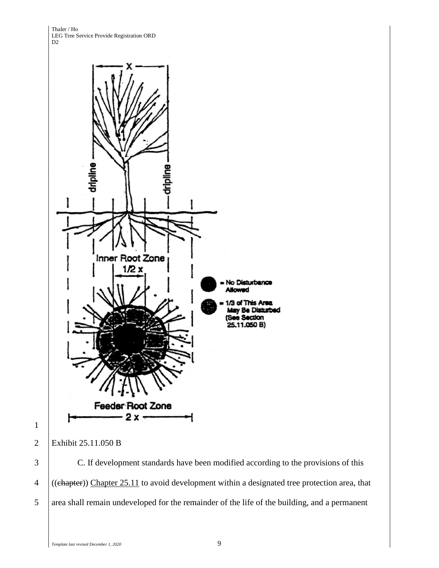Thaler / Ho LEG Tree Service Provide Registration ORD D<sub>2</sub>



1

2 Exhibit 25.11.050 B

3 C. If development standards have been modified according to the provisions of this 4 ((chapter)) Chapter 25.11 to avoid development within a designated tree protection area, that 5 area shall remain undeveloped for the remainder of the life of the building, and a permanent

*Template last revised December 1, 2020* 9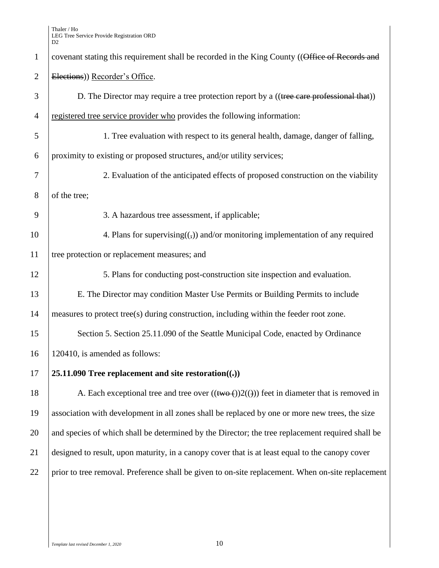Thaler / Ho LEG Tree Service Provide Registration ORD D2

| $\mathbf{1}$   | covenant stating this requirement shall be recorded in the King County ((Office of Records and          |
|----------------|---------------------------------------------------------------------------------------------------------|
| $\overline{2}$ | Elections)) Recorder's Office.                                                                          |
| 3              | D. The Director may require a tree protection report by a ((tree care professional that))               |
| $\overline{4}$ | registered tree service provider who provides the following information:                                |
| 5              | 1. Tree evaluation with respect to its general health, damage, danger of falling,                       |
| 6              | proximity to existing or proposed structures, and/or utility services;                                  |
| 7              | 2. Evaluation of the anticipated effects of proposed construction on the viability                      |
| 8              | of the tree;                                                                                            |
| 9              | 3. A hazardous tree assessment, if applicable;                                                          |
| 10             | 4. Plans for supervising( $\left(\frac{1}{2}\right)$ ) and/or monitoring implementation of any required |
| 11             | tree protection or replacement measures; and                                                            |
| 12             | 5. Plans for conducting post-construction site inspection and evaluation.                               |
| 13             | E. The Director may condition Master Use Permits or Building Permits to include                         |
| 14             | measures to protect tree(s) during construction, including within the feeder root zone.                 |
| 15             | Section 5. Section 25.11.090 of the Seattle Municipal Code, enacted by Ordinance                        |
| 16             | 120410, is amended as follows:                                                                          |
| 17             | 25.11.090 Tree replacement and site restoration( $\left( \cdot \right)$ )                               |
| 18             | A. Each exceptional tree and tree over $((\text{two-}())2(())$ feet in diameter that is removed in      |
| 19             | association with development in all zones shall be replaced by one or more new trees, the size          |
| 20             | and species of which shall be determined by the Director; the tree replacement required shall be        |
| 21             | designed to result, upon maturity, in a canopy cover that is at least equal to the canopy cover         |
| 22             | prior to tree removal. Preference shall be given to on-site replacement. When on-site replacement       |
|                |                                                                                                         |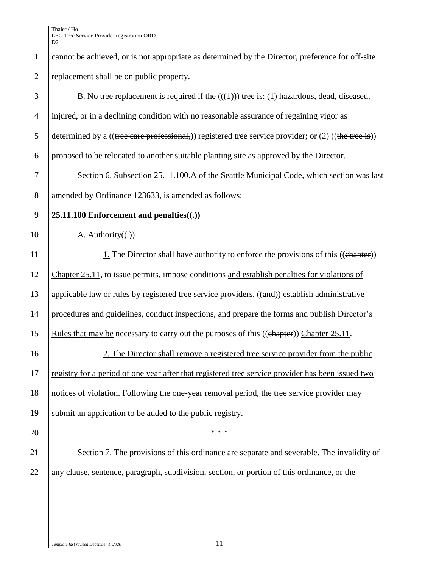| $\mathbf{1}$   | cannot be achieved, or is not appropriate as determined by the Director, preference for off-site       |
|----------------|--------------------------------------------------------------------------------------------------------|
| $\mathfrak{2}$ | replacement shall be on public property.                                                               |
| 3              | B. No tree replacement is required if the $((4))$ tree is: (1) hazardous, dead, diseased,              |
| $\overline{4}$ | injured, or in a declining condition with no reasonable assurance of regaining vigor as                |
| 5              | determined by a ((tree care professional,)) registered tree service provider; or $(2)$ ((the tree is)) |
| 6              | proposed to be relocated to another suitable planting site as approved by the Director.                |
| $\tau$         | Section 6. Subsection 25.11.100.A of the Seattle Municipal Code, which section was last                |
| $8\,$          | amended by Ordinance 123633, is amended as follows:                                                    |
| 9              | 25.11.100 Enforcement and penalties $((.)$                                                             |
| 10             | A. Authority $((.)$                                                                                    |
| 11             | 1. The Director shall have authority to enforce the provisions of this ((chapter))                     |
| 12             | Chapter 25.11, to issue permits, impose conditions and establish penalties for violations of           |
| 13             | applicable law or rules by registered tree service providers, ((and)) establish administrative         |
| 14             | procedures and guidelines, conduct inspections, and prepare the forms and publish Director's           |
| 15             | Rules that may be necessary to carry out the purposes of this ((chapter)) Chapter 25.11.               |
| 16             | 2. The Director shall remove a registered tree service provider from the public                        |
| 17             | registry for a period of one year after that registered tree service provider has been issued two      |
| 18             | notices of violation. Following the one-year removal period, the tree service provider may             |
| 19             | submit an application to be added to the public registry.                                              |
| 20             | * * *                                                                                                  |
| 21             | Section 7. The provisions of this ordinance are separate and severable. The invalidity of              |
| 22             | any clause, sentence, paragraph, subdivision, section, or portion of this ordinance, or the            |
|                |                                                                                                        |
|                |                                                                                                        |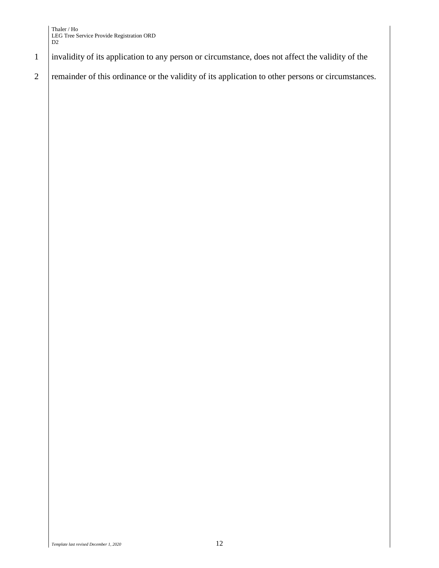- 1 invalidity of its application to any person or circumstance, does not affect the validity of the
- 2 remainder of this ordinance or the validity of its application to other persons or circumstances.